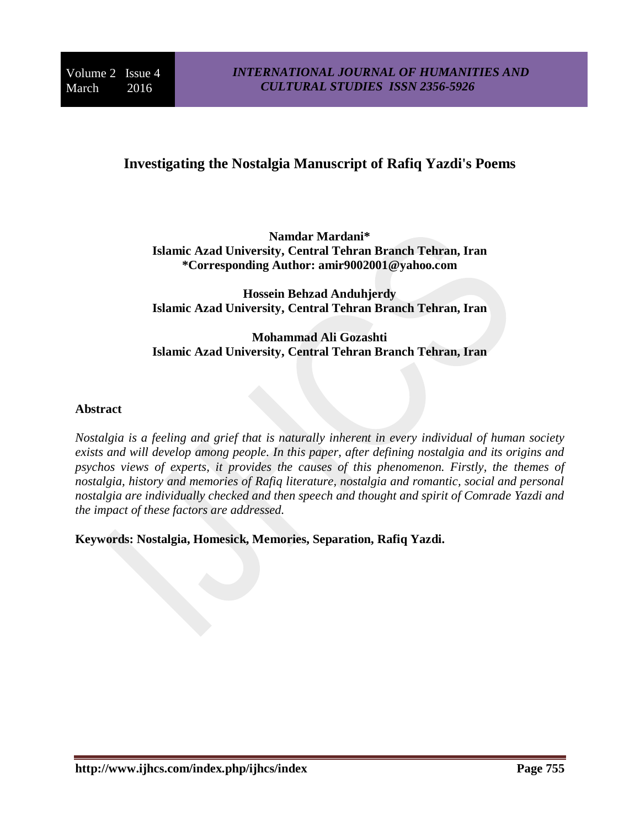# **Investigating the Nostalgia Manuscript of Rafiq Yazdi's Poems**

## **Namdar Mardani\* Islamic Azad University, Central Tehran Branch Tehran, Iran \*Corresponding Author: amir9002001@yahoo.com**

## **Hossein Behzad Anduhjerdy Islamic Azad University, Central Tehran Branch Tehran, Iran**

## **Mohammad Ali Gozashti Islamic Azad University, Central Tehran Branch Tehran, Iran**

# **Abstract**

*Nostalgia is a feeling and grief that is naturally inherent in every individual of human society exists and will develop among people. In this paper, after defining nostalgia and its origins and psychos views of experts, it provides the causes of this phenomenon. Firstly, the themes of nostalgia, history and memories of Rafiq literature, nostalgia and romantic, social and personal nostalgia are individually checked and then speech and thought and spirit of Comrade Yazdi and the impact of these factors are addressed.*

**Keywords: Nostalgia, Homesick, Memories, Separation, Rafiq Yazdi.**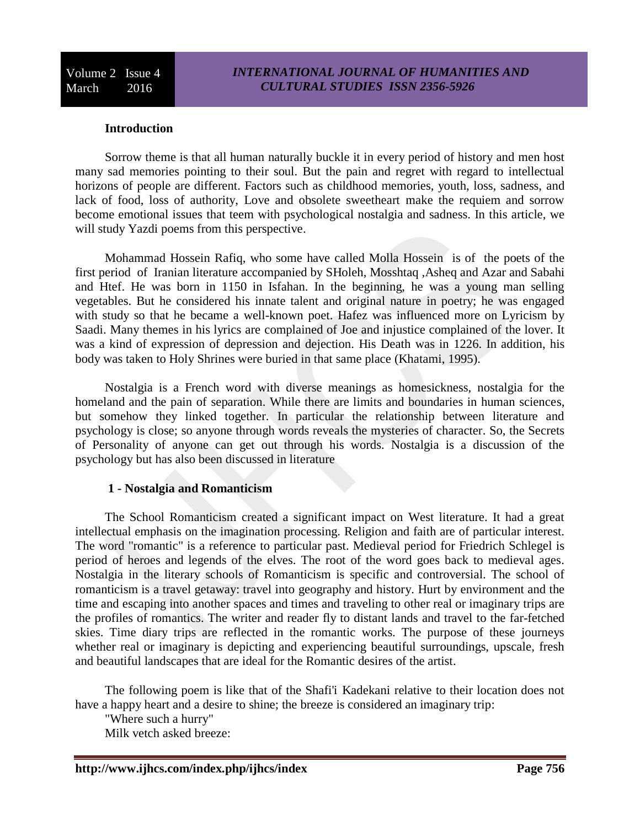# **Introduction**

Sorrow theme is that all human naturally buckle it in every period of history and men host many sad memories pointing to their soul. But the pain and regret with regard to intellectual horizons of people are different. Factors such as childhood memories, youth, loss, sadness, and lack of food, loss of authority, Love and obsolete sweetheart make the requiem and sorrow become emotional issues that teem with psychological nostalgia and sadness. In this article, we will study Yazdi poems from this perspective.

Mohammad Hossein Rafiq, who some have called Molla Hossein is of the poets of the first period of Iranian literature accompanied by SHoleh, Mosshtaq ,Asheq and Azar and Sabahi and Htef. He was born in 1150 in Isfahan. In the beginning, he was a young man selling vegetables. But he considered his innate talent and original nature in poetry; he was engaged with study so that he became a well-known poet. Hafez was influenced more on Lyricism by Saadi. Many themes in his lyrics are complained of Joe and injustice complained of the lover. It was a kind of expression of depression and dejection. His Death was in 1226. In addition, his body was taken to Holy Shrines were buried in that same place (Khatami, 1995).

Nostalgia is a French word with diverse meanings as homesickness, nostalgia for the homeland and the pain of separation. While there are limits and boundaries in human sciences, but somehow they linked together. In particular the relationship between literature and psychology is close; so anyone through words reveals the mysteries of character. So, the Secrets of Personality of anyone can get out through his words. Nostalgia is a discussion of the psychology but has also been discussed in literature

# **1 - Nostalgia and Romanticism**

The School Romanticism created a significant impact on West literature. It had a great intellectual emphasis on the imagination processing. Religion and faith are of particular interest. The word "romantic" is a reference to particular past. Medieval period for Friedrich Schlegel is period of heroes and legends of the elves. The root of the word goes back to medieval ages. Nostalgia in the literary schools of Romanticism is specific and controversial. The school of romanticism is a travel getaway: travel into geography and history. Hurt by environment and the time and escaping into another spaces and times and traveling to other real or imaginary trips are the profiles of romantics. The writer and reader fly to distant lands and travel to the far-fetched skies. Time diary trips are reflected in the romantic works. The purpose of these journeys whether real or imaginary is depicting and experiencing beautiful surroundings, upscale, fresh and beautiful landscapes that are ideal for the Romantic desires of the artist.

The following poem is like that of the Shafi'i Kadekani relative to their location does not have a happy heart and a desire to shine; the breeze is considered an imaginary trip:

"Where such a hurry"

Milk vetch asked breeze: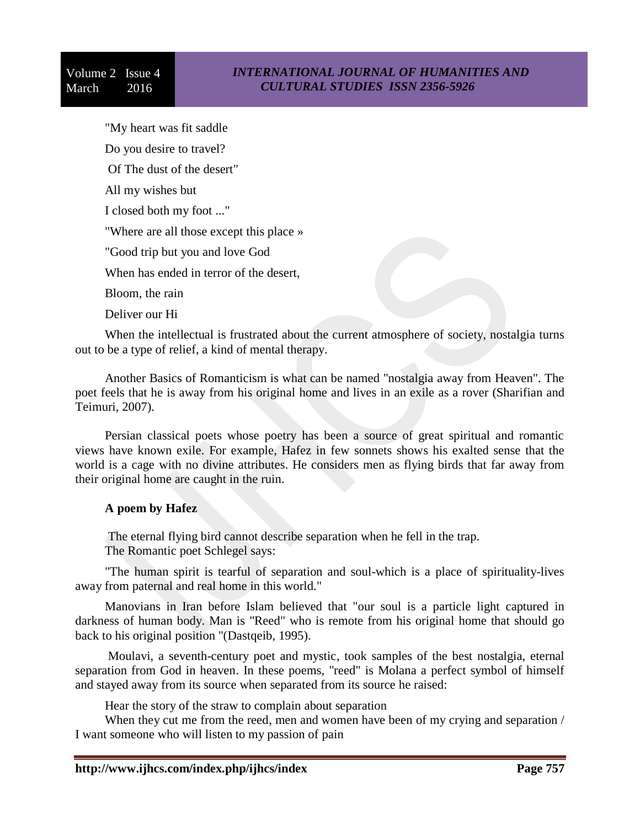"My heart was fit saddle Do you desire to travel? Of The dust of the desert" All my wishes but I closed both my foot ..." "Where are all those except this place » "Good trip but you and love God When has ended in terror of the desert, Bloom, the rain Deliver our Hi

When the intellectual is frustrated about the current atmosphere of society, nostalgia turns out to be a type of relief, a kind of mental therapy.

Another Basics of Romanticism is what can be named "nostalgia away from Heaven". The poet feels that he is away from his original home and lives in an exile as a rover (Sharifian and Teimuri, 2007).

Persian classical poets whose poetry has been a source of great spiritual and romantic views have known exile. For example, Hafez in few sonnets shows his exalted sense that the world is a cage with no divine attributes. He considers men as flying birds that far away from their original home are caught in the ruin.

# **A poem by Hafez**

The eternal flying bird cannot describe separation when he fell in the trap. The Romantic poet Schlegel says:

"The human spirit is tearful of separation and soul-which is a place of spirituality-lives away from paternal and real home in this world."

Manovians in Iran before Islam believed that "our soul is a particle light captured in darkness of human body. Man is "Reed" who is remote from his original home that should go back to his original position "(Dastqeib, 1995).

Moulavi, a seventh-century poet and mystic, took samples of the best nostalgia, eternal separation from God in heaven. In these poems, "reed" is Molana a perfect symbol of himself and stayed away from its source when separated from its source he raised:

Hear the story of the straw to complain about separation

When they cut me from the reed, men and women have been of my crying and separation / I want someone who will listen to my passion of pain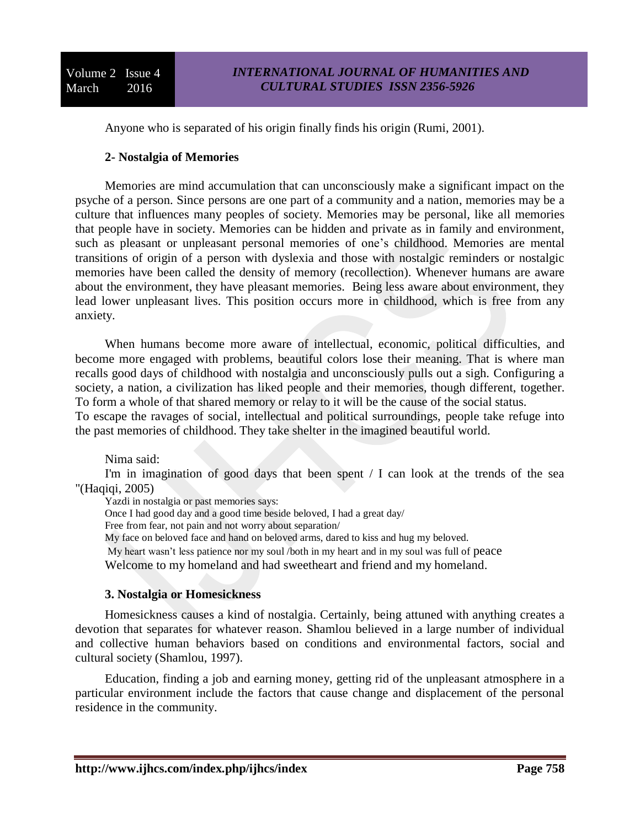Anyone who is separated of his origin finally finds his origin (Rumi, 2001).

## **2- Nostalgia of Memories**

Memories are mind accumulation that can unconsciously make a significant impact on the psyche of a person. Since persons are one part of a community and a nation, memories may be a culture that influences many peoples of society. Memories may be personal, like all memories that people have in society. Memories can be hidden and private as in family and environment, such as pleasant or unpleasant personal memories of one's childhood. Memories are mental transitions of origin of a person with dyslexia and those with nostalgic reminders or nostalgic memories have been called the density of memory (recollection). Whenever humans are aware about the environment, they have pleasant memories. Being less aware about environment, they lead lower unpleasant lives. This position occurs more in childhood, which is free from any anxiety.

When humans become more aware of intellectual, economic, political difficulties, and become more engaged with problems, beautiful colors lose their meaning. That is where man recalls good days of childhood with nostalgia and unconsciously pulls out a sigh. Configuring a society, a nation, a civilization has liked people and their memories, though different, together. To form a whole of that shared memory or relay to it will be the cause of the social status.

To escape the ravages of social, intellectual and political surroundings, people take refuge into the past memories of childhood. They take shelter in the imagined beautiful world.

## Nima said:

I'm in imagination of good days that been spent  $\ell$  I can look at the trends of the sea "(Haqiqi, 2005)

Yazdi in nostalgia or past memories says:

Once I had good day and a good time beside beloved, I had a great day/

Free from fear, not pain and not worry about separation/

My face on beloved face and hand on beloved arms, dared to kiss and hug my beloved.

My heart wasn't less patience nor my soul /both in my heart and in my soul was full of peace

Welcome to my homeland and had sweetheart and friend and my homeland.

## **3. Nostalgia or Homesickness**

Homesickness causes a kind of nostalgia. Certainly, being attuned with anything creates a devotion that separates for whatever reason. Shamlou believed in a large number of individual and collective human behaviors based on conditions and environmental factors, social and cultural society (Shamlou, 1997).

Education, finding a job and earning money, getting rid of the unpleasant atmosphere in a particular environment include the factors that cause change and displacement of the personal residence in the community.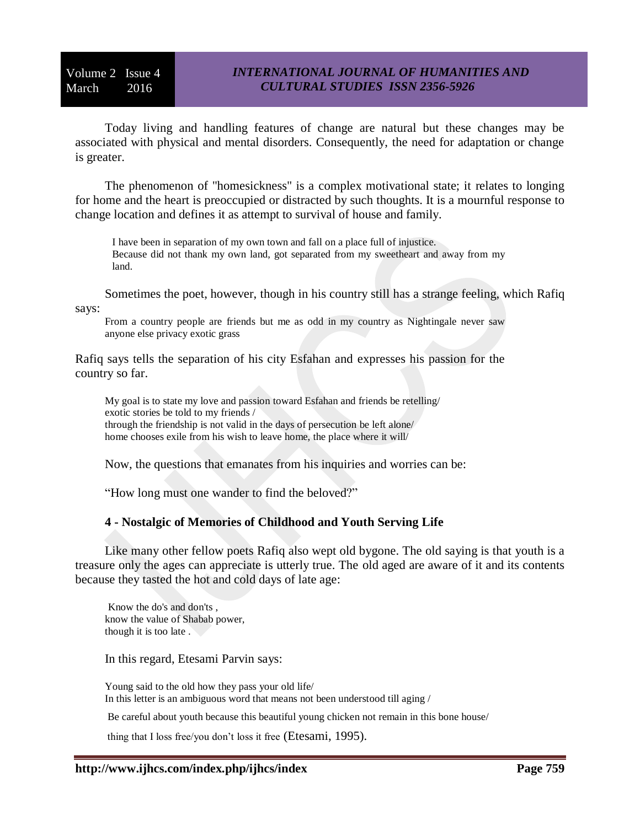Today living and handling features of change are natural but these changes may be associated with physical and mental disorders. Consequently, the need for adaptation or change is greater.

The phenomenon of "homesickness" is a complex motivational state; it relates to longing for home and the heart is preoccupied or distracted by such thoughts. It is a mournful response to change location and defines it as attempt to survival of house and family.

I have been in separation of my own town and fall on a place full of injustice. Because did not thank my own land, got separated from my sweetheart and away from my land.

Sometimes the poet, however, though in his country still has a strange feeling, which Rafiq

says:

From a country people are friends but me as odd in my country as Nightingale never saw anyone else privacy exotic grass

Rafiq says tells the separation of his city Esfahan and expresses his passion for the country so far.

My goal is to state my love and passion toward Esfahan and friends be retelling/ exotic stories be told to my friends / through the friendship is not valid in the days of persecution be left alone/ home chooses exile from his wish to leave home, the place where it will/

Now, the questions that emanates from his inquiries and worries can be:

"How long must one wander to find the beloved?"

## **4 - Nostalgic of Memories of Childhood and Youth Serving Life**

Like many other fellow poets Rafiq also wept old bygone. The old saying is that youth is a treasure only the ages can appreciate is utterly true. The old aged are aware of it and its contents because they tasted the hot and cold days of late age:

Know the do's and don'ts , know the value of Shabab power, though it is too late .

In this regard, Etesami Parvin says:

Young said to the old how they pass your old life/ In this letter is an ambiguous word that means not been understood till aging /

Be careful about youth because this beautiful young chicken not remain in this bone house/

thing that I loss free/you don't loss it free (Etesami, 1995).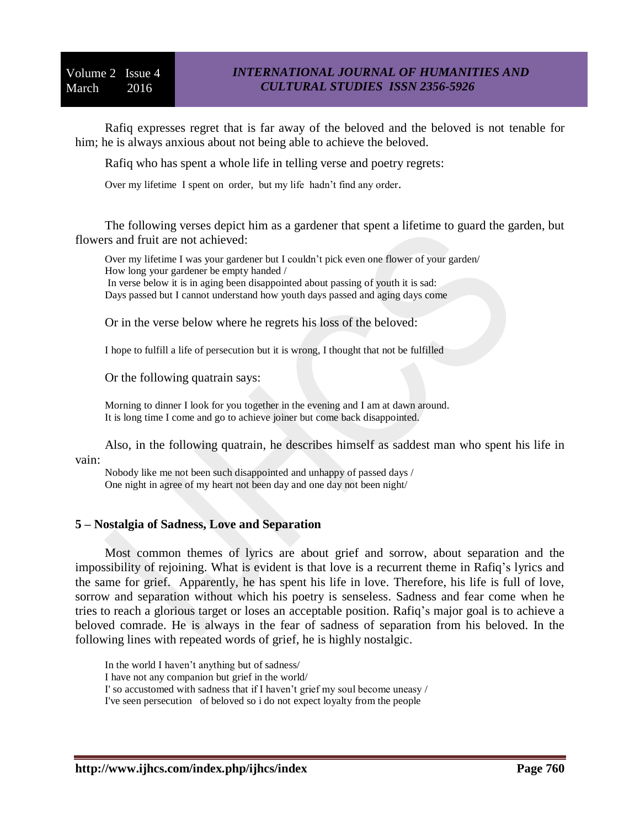Rafiq expresses regret that is far away of the beloved and the beloved is not tenable for him; he is always anxious about not being able to achieve the beloved.

Rafiq who has spent a whole life in telling verse and poetry regrets:

Over my lifetime I spent on order, but my life hadn't find any order.

The following verses depict him as a gardener that spent a lifetime to guard the garden, but flowers and fruit are not achieved:

Over my lifetime I was your gardener but I couldn't pick even one flower of your garden/ How long your gardener be empty handed / In verse below it is in aging been disappointed about passing of youth it is sad:

Days passed but I cannot understand how youth days passed and aging days come

Or in the verse below where he regrets his loss of the beloved:

I hope to fulfill a life of persecution but it is wrong, I thought that not be fulfilled

Or the following quatrain says:

Morning to dinner I look for you together in the evening and I am at dawn around. It is long time I come and go to achieve joiner but come back disappointed.

Also, in the following quatrain, he describes himself as saddest man who spent his life in vain:

Nobody like me not been such disappointed and unhappy of passed days / One night in agree of my heart not been day and one day not been night/

## **5 – Nostalgia of Sadness, Love and Separation**

Most common themes of lyrics are about grief and sorrow, about separation and the impossibility of rejoining. What is evident is that love is a recurrent theme in Rafiq's lyrics and the same for grief. Apparently, he has spent his life in love. Therefore, his life is full of love, sorrow and separation without which his poetry is senseless. Sadness and fear come when he tries to reach a glorious target or loses an acceptable position. Rafiq's major goal is to achieve a beloved comrade. He is always in the fear of sadness of separation from his beloved. In the following lines with repeated words of grief, he is highly nostalgic.

In the world I haven't anything but of sadness/

I have not any companion but grief in the world/

I' so accustomed with sadness that if I haven't grief my soul become uneasy /

I've seen persecution of beloved so i do not expect loyalty from the people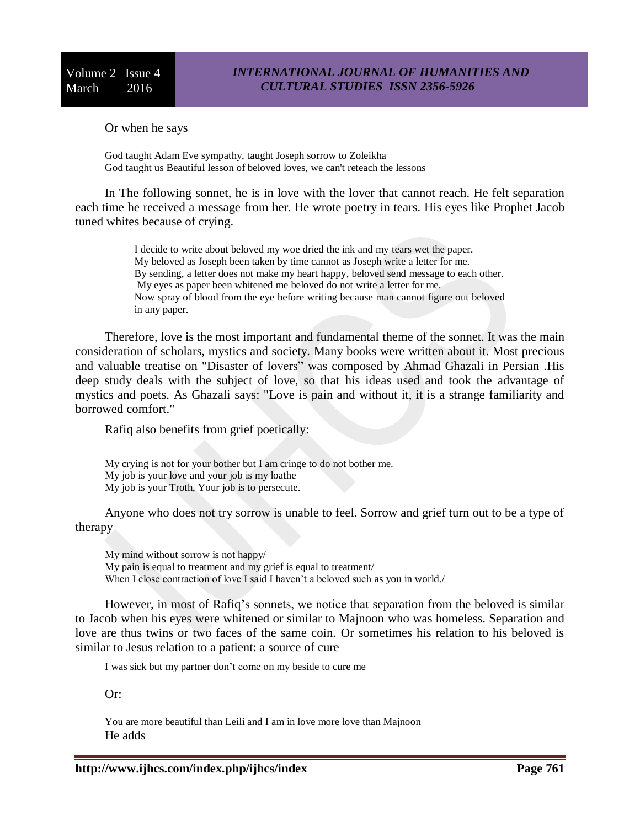Or when he says

God taught Adam Eve sympathy, taught Joseph sorrow to Zoleikha God taught us Beautiful lesson of beloved loves, we can't reteach the lessons

In The following sonnet, he is in love with the lover that cannot reach. He felt separation each time he received a message from her. He wrote poetry in tears. His eyes like Prophet Jacob tuned whites because of crying.

> I decide to write about beloved my woe dried the ink and my tears wet the paper. My beloved as Joseph been taken by time cannot as Joseph write a letter for me. By sending, a letter does not make my heart happy, beloved send message to each other. My eyes as paper been whitened me beloved do not write a letter for me. Now spray of blood from the eye before writing because man cannot figure out beloved in any paper.

Therefore, love is the most important and fundamental theme of the sonnet. It was the main consideration of scholars, mystics and society. Many books were written about it. Most precious and valuable treatise on "Disaster of lovers" was composed by Ahmad Ghazali in Persian .His deep study deals with the subject of love, so that his ideas used and took the advantage of mystics and poets. As Ghazali says: "Love is pain and without it, it is a strange familiarity and borrowed comfort."

Rafiq also benefits from grief poetically:

My crying is not for your bother but I am cringe to do not bother me. My job is your love and your job is my loathe My job is your Troth, Your job is to persecute.

Anyone who does not try sorrow is unable to feel. Sorrow and grief turn out to be a type of therapy

My mind without sorrow is not happy/ My pain is equal to treatment and my grief is equal to treatment/ When I close contraction of love I said I haven't a beloved such as you in world./

However, in most of Rafiq's sonnets, we notice that separation from the beloved is similar to Jacob when his eyes were whitened or similar to Majnoon who was homeless. Separation and love are thus twins or two faces of the same coin. Or sometimes his relation to his beloved is similar to Jesus relation to a patient: a source of cure

I was sick but my partner don't come on my beside to cure me

Or:

You are more beautiful than Leili and I am in love more love than Majnoon He adds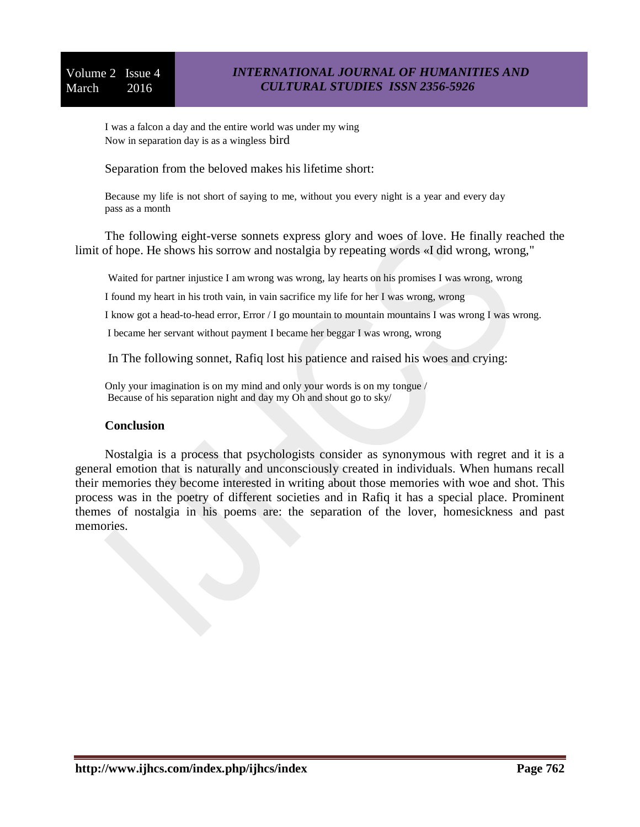I was a falcon a day and the entire world was under my wing Now in separation day is as a wingless bird

Separation from the beloved makes his lifetime short:

Because my life is not short of saying to me, without you every night is a year and every day pass as a month

The following eight-verse sonnets express glory and woes of love. He finally reached the limit of hope. He shows his sorrow and nostalgia by repeating words «I did wrong, wrong,"

Waited for partner injustice I am wrong was wrong, lay hearts on his promises I was wrong, wrong

I found my heart in his troth vain, in vain sacrifice my life for her I was wrong, wrong

I know got a head-to-head error, Error / I go mountain to mountain mountains I was wrong I was wrong.

I became her servant without payment I became her beggar I was wrong, wrong

In The following sonnet, Rafiq lost his patience and raised his woes and crying:

Only your imagination is on my mind and only your words is on my tongue / Because of his separation night and day my Oh and shout go to sky/

#### **Conclusion**

Nostalgia is a process that psychologists consider as synonymous with regret and it is a general emotion that is naturally and unconsciously created in individuals. When humans recall their memories they become interested in writing about those memories with woe and shot. This process was in the poetry of different societies and in Rafiq it has a special place. Prominent themes of nostalgia in his poems are: the separation of the lover, homesickness and past memories.